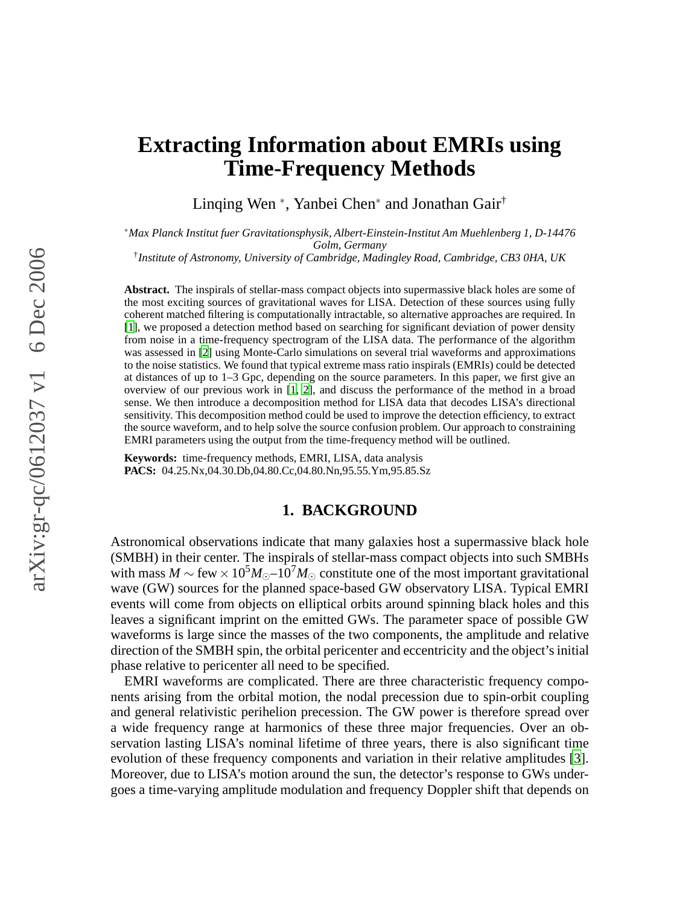# **Extracting Information about EMRIs using Time-Frequency Methods**

Linqing Wen <sup>∗</sup> , Yanbei Chen<sup>∗</sup> and Jonathan Gair†

∗*Max Planck Institut fuer Gravitationsphysik, Albert-Einstein-Institut Am Muehlenberg 1, D-14476 Golm, Germany*

† *Institute of Astronomy, University of Cambridge, Madingley Road, Cambridge, CB3 0HA, UK*

**Abstract.** The inspirals of stellar-mass compact objects into supermassive black holes are some of the most exciting sources of gravitational waves for LISA. Detection of these sources using fully coherent matched filtering is computationally intractable, so alternative approaches are required. In [\[1](#page-9-0)], we proposed a detection method based on searching for significant deviation of power density from noise in a time-frequency spectrogram of the LISA data. The performance of the algorithm was assessed in [\[2](#page-9-1)] using Monte-Carlo simulations on several trial waveforms and approximations to the noise statistics. We found that typical extreme mass ratio inspirals (EMRIs) could be detected at distances of up to 1–3 Gpc, depending on the source parameters. In this paper, we first give an overview of our previous work in [\[1](#page-9-0), [2](#page-9-1)], and discuss the performance of the method in a broad sense. We then introduce a decomposition method for LISA data that decodes LISA's directional sensitivity. This decomposition method could be used to improve the detection efficiency, to extract the source waveform, and to help solve the source confusion problem. Our approach to constraining EMRI parameters using the output from the time-frequency method will be outlined.

**Keywords:** time-frequency methods, EMRI, LISA, data analysis **PACS:** 04.25.Nx,04.30.Db,04.80.Cc,04.80.Nn,95.55.Ym,95.85.Sz

#### **1. BACKGROUND**

Astronomical observations indicate that many galaxies host a supermassive black hole (SMBH) in their center. The inspirals of stellar-mass compact objects into such SMBHs with mass  $M \sim \text{few} \times 10^5 M_{\odot}$ –10<sup>7</sup> $M_{\odot}$  constitute one of the most important gravitational wave (GW) sources for the planned space-based GW observatory LISA. Typical EMRI events will come from objects on elliptical orbits around spinning black holes and this leaves a significant imprint on the emitted GWs. The parameter space of possible GW waveforms is large since the masses of the two components, the amplitude and relative direction of the SMBH spin, the orbital pericenter and eccentricity and the object's initial phase relative to pericenter all need to be specified.

EMRI waveforms are complicated. There are three characteristic frequency components arising from the orbital motion, the nodal precession due to spin-orbit coupling and general relativistic perihelion precession. The GW power is therefore spread over a wide frequency range at harmonics of these three major frequencies. Over an observation lasting LISA's nominal lifetime of three years, there is also significant time evolution of these frequency components and variation in their relative amplitudes [\[3](#page-9-2)]. Moreover, due to LISA's motion around the sun, the detector's response to GWs undergoes a time-varying amplitude modulation and frequency Doppler shift that depends on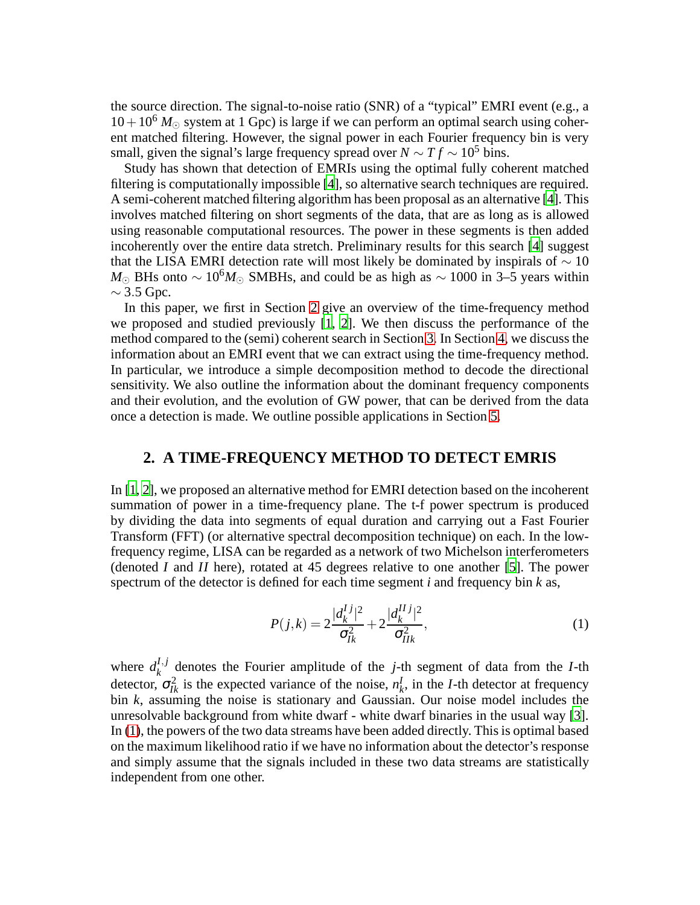the source direction. The signal-to-noise ratio (SNR) of a "typical" EMRI event (e.g., a  $10+10^6$  *M*<sub> $\odot$ </sub> system at 1 Gpc) is large if we can perform an optimal search using coherent matched filtering. However, the signal power in each Fourier frequency bin is very small, given the signal's large frequency spread over  $N \sim T f \sim 10^5$  bins.

Study has shown that detection of EMRIs using the optimal fully coherent matched filtering is computationally impossible [\[4\]](#page-9-3), so alternative search techniques are required. A semi-coherent matched filtering algorithm has been proposal as an alternative [\[4\]](#page-9-3). This involves matched filtering on short segments of the data, that are as long as is allowed using reasonable computational resources. The power in these segments is then added incoherently over the entire data stretch. Preliminary results for this search [\[4\]](#page-9-3) suggest that the LISA EMRI detection rate will most likely be dominated by inspirals of  $\sim 10$ *M*<sub>⊙</sub> BHs onto ~ 10<sup>6</sup>*M*<sub>⊙</sub> SMBHs, and could be as high as ~ 1000 in 3–5 years within  $\sim$  3.5 Gpc.

In this paper, we first in Section [2](#page-1-0) give an overview of the time-frequency method we proposed and studied previously [\[1,](#page-9-0) [2](#page-9-1)]. We then discuss the performance of the method compared to the (semi) coherent search in Section [3.](#page-2-0) In Section [4,](#page-3-0) we discuss the information about an EMRI event that we can extract using the time-frequency method. In particular, we introduce a simple decomposition method to decode the directional sensitivity. We also outline the information about the dominant frequency components and their evolution, and the evolution of GW power, that can be derived from the data once a detection is made. We outline possible applications in Section [5.](#page-8-0)

#### **2. A TIME-FREQUENCY METHOD TO DETECT EMRIS**

<span id="page-1-0"></span>In [\[1](#page-9-0), [2\]](#page-9-1), we proposed an alternative method for EMRI detection based on the incoherent summation of power in a time-frequency plane. The t-f power spectrum is produced by dividing the data into segments of equal duration and carrying out a Fast Fourier Transform (FFT) (or alternative spectral decomposition technique) on each. In the lowfrequency regime, LISA can be regarded as a network of two Michelson interferometers (denoted *I* and *II* here), rotated at 45 degrees relative to one another [\[5](#page-9-4)]. The power spectrum of the detector is defined for each time segment *i* and frequency bin *k* as,

<span id="page-1-1"></span>
$$
P(j,k) = 2\frac{|d_k^{Ij}|^2}{\sigma_{Ik}^2} + 2\frac{|d_k^{IIj}|^2}{\sigma_{IIk}^2},
$$
\n(1)

where  $d_k^{I,j}$  $k_k^{I,J}$  denotes the Fourier amplitude of the *j*-th segment of data from the *I*-th detector,  $\sigma_{lk}^2$  is the expected variance of the noise,  $n_k^l$  $k<sub>k</sub>$ , in the *I*-th detector at frequency bin *k*, assuming the noise is stationary and Gaussian. Our noise model includes the unresolvable background from white dwarf - white dwarf binaries in the usual way [\[3](#page-9-2)]. In [\(1\)](#page-1-1), the powers of the two data streams have been added directly. This is optimal based on the maximum likelihood ratio if we have no information about the detector's response and simply assume that the signals included in these two data streams are statistically independent from one other.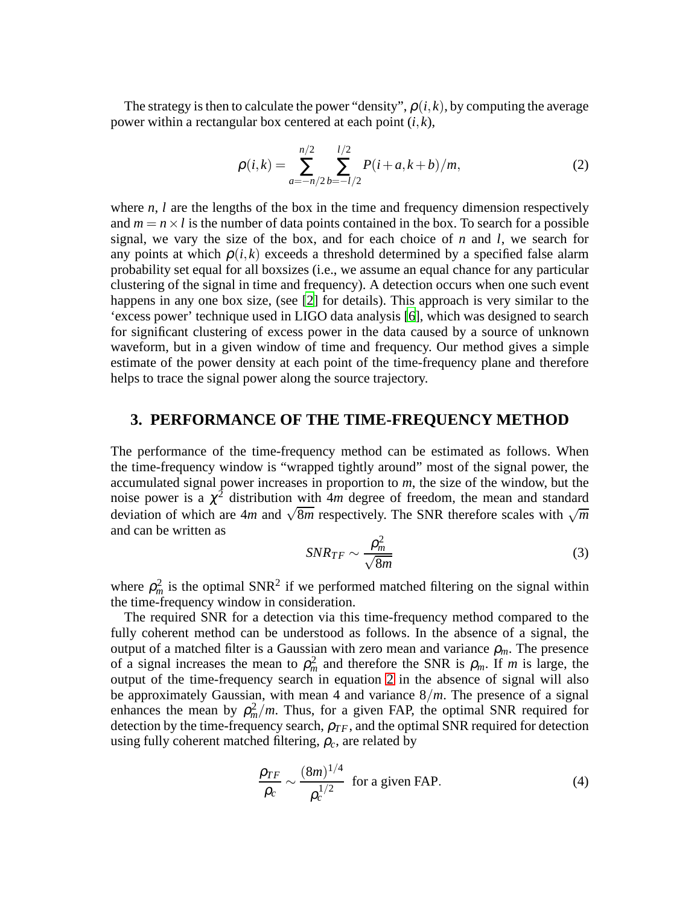The strategy is then to calculate the power "density",  $\rho(i,k)$ , by computing the average power within a rectangular box centered at each point (*i*, *k*),

$$
\rho(i,k) = \sum_{a=-n/2}^{n/2} \sum_{b=-l/2}^{l/2} P(i+a,k+b)/m,
$$
\n(2)

<span id="page-2-1"></span>where *n*, *l* are the lengths of the box in the time and frequency dimension respectively and  $m = n \times l$  is the number of data points contained in the box. To search for a possible signal, we vary the size of the box, and for each choice of  $n$  and  $l$ , we search for any points at which  $\rho(i,k)$  exceeds a threshold determined by a specified false alarm probability set equal for all boxsizes (i.e., we assume an equal chance for any particular clustering of the signal in time and frequency). A detection occurs when one such event happens in any one box size, (see [\[2](#page-9-1)] for details). This approach is very similar to the 'excess power' technique used in LIGO data analysis [\[6](#page-9-5)], which was designed to search for significant clustering of excess power in the data caused by a source of unknown waveform, but in a given window of time and frequency. Our method gives a simple estimate of the power density at each point of the time-frequency plane and therefore helps to trace the signal power along the source trajectory.

#### **3. PERFORMANCE OF THE TIME-FREQUENCY METHOD**

<span id="page-2-0"></span>The performance of the time-frequency method can be estimated as follows. When the time-frequency window is "wrapped tightly around" most of the signal power, the accumulated signal power increases in proportion to *m*, the size of the window, but the noise power is a  $\chi^2$  distribution with  $4m$  degree of freedom, the mean and standard deviation of which are  $4m$  and  $\sqrt{8m}$  respectively. The SNR therefore scales with  $\sqrt{m}$ and can be written as

$$
SNR_{TF} \sim \frac{\rho_m^2}{\sqrt{8m}}\tag{3}
$$

where  $\rho_m^2$  is the optimal SNR<sup>2</sup> if we performed matched filtering on the signal within the time-frequency window in consideration.

The required SNR for a detection via this time-frequency method compared to the fully coherent method can be understood as follows. In the absence of a signal, the output of a matched filter is a Gaussian with zero mean and variance  $\rho_m$ . The presence of a signal increases the mean to  $\rho_m^2$  and therefore the SNR is  $\rho_m$ . If *m* is large, the output of the time-frequency search in equation [2](#page-2-1) in the absence of signal will also be approximately Gaussian, with mean 4 and variance 8/*m*. The presence of a signal enhances the mean by  $\rho_m^2/m$ . Thus, for a given FAP, the optimal SNR required for detection by the time-frequency search,  $\rho_{TF}$ , and the optimal SNR required for detection using fully coherent matched filtering,  $\rho_c$ , are related by

$$
\frac{\rho_{TF}}{\rho_c} \sim \frac{(8m)^{1/4}}{\rho_c^{1/2}}
$$
 for a given FAP. (4)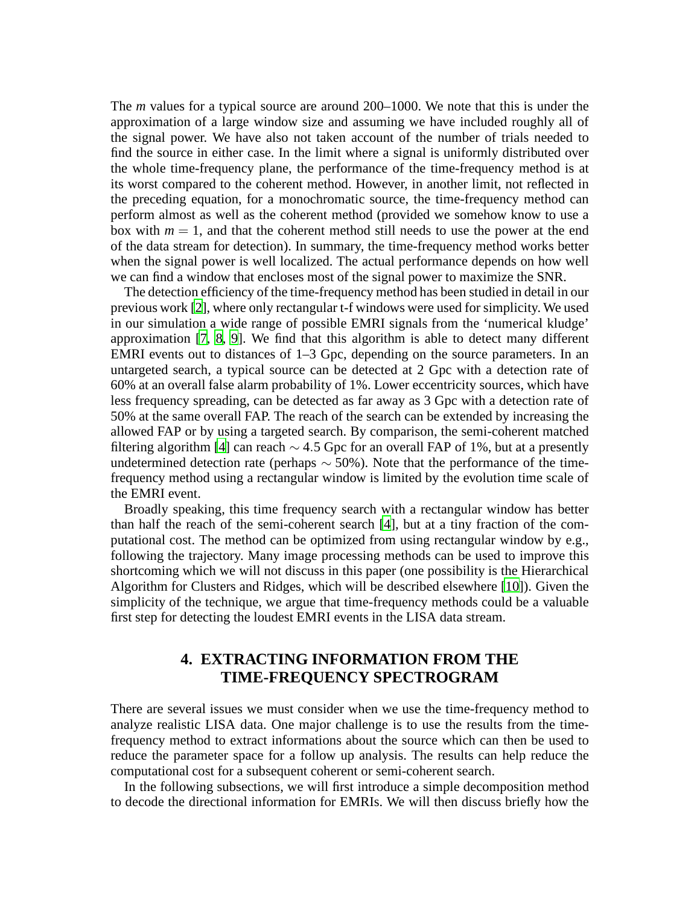The *m* values for a typical source are around 200–1000. We note that this is under the approximation of a large window size and assuming we have included roughly all of the signal power. We have also not taken account of the number of trials needed to find the source in either case. In the limit where a signal is uniformly distributed over the whole time-frequency plane, the performance of the time-frequency method is at its worst compared to the coherent method. However, in another limit, not reflected in the preceding equation, for a monochromatic source, the time-frequency method can perform almost as well as the coherent method (provided we somehow know to use a box with  $m = 1$ , and that the coherent method still needs to use the power at the end of the data stream for detection). In summary, the time-frequency method works better when the signal power is well localized. The actual performance depends on how well we can find a window that encloses most of the signal power to maximize the SNR.

The detection efficiency of the time-frequency method has been studied in detail in our previous work [\[2\]](#page-9-1), where only rectangular t-f windows were used for simplicity. We used in our simulation a wide range of possible EMRI signals from the 'numerical kludge' approximation [\[7](#page-9-6), [8,](#page-9-7) [9](#page-9-8)]. We find that this algorithm is able to detect many different EMRI events out to distances of 1–3 Gpc, depending on the source parameters. In an untargeted search, a typical source can be detected at 2 Gpc with a detection rate of 60% at an overall false alarm probability of 1%. Lower eccentricity sources, which have less frequency spreading, can be detected as far away as 3 Gpc with a detection rate of 50% at the same overall FAP. The reach of the search can be extended by increasing the allowed FAP or by using a targeted search. By comparison, the semi-coherent matched filtering algorithm [\[4](#page-9-3)] can reach  $\sim$  4.5 Gpc for an overall FAP of 1%, but at a presently undetermined detection rate (perhaps  $\sim$  50%). Note that the performance of the timefrequency method using a rectangular window is limited by the evolution time scale of the EMRI event.

Broadly speaking, this time frequency search with a rectangular window has better than half the reach of the semi-coherent search [\[4\]](#page-9-3), but at a tiny fraction of the computational cost. The method can be optimized from using rectangular window by e.g., following the trajectory. Many image processing methods can be used to improve this shortcoming which we will not discuss in this paper (one possibility is the Hierarchical Algorithm for Clusters and Ridges, which will be described elsewhere [\[10](#page-9-9)]). Given the simplicity of the technique, we argue that time-frequency methods could be a valuable first step for detecting the loudest EMRI events in the LISA data stream.

## **4. EXTRACTING INFORMATION FROM THE TIME-FREQUENCY SPECTROGRAM**

<span id="page-3-0"></span>There are several issues we must consider when we use the time-frequency method to analyze realistic LISA data. One major challenge is to use the results from the timefrequency method to extract informations about the source which can then be used to reduce the parameter space for a follow up analysis. The results can help reduce the computational cost for a subsequent coherent or semi-coherent search.

In the following subsections, we will first introduce a simple decomposition method to decode the directional information for EMRIs. We will then discuss briefly how the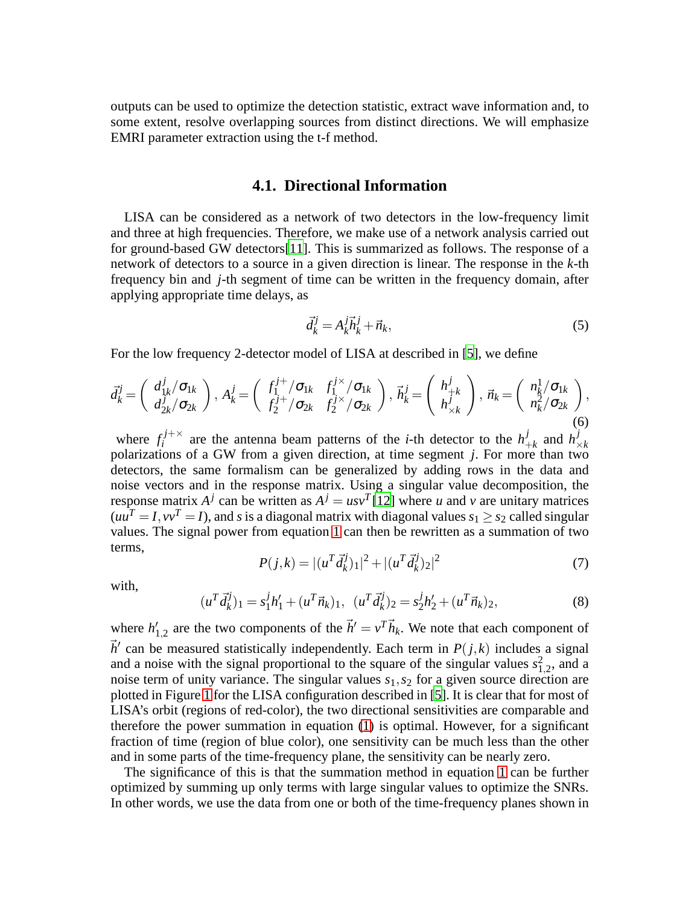outputs can be used to optimize the detection statistic, extract wave information and, to some extent, resolve overlapping sources from distinct directions. We will emphasize EMRI parameter extraction using the t-f method.

#### **4.1. Directional Information**

LISA can be considered as a network of two detectors in the low-frequency limit and three at high frequencies. Therefore, we make use of a network analysis carried out for ground-based GW detectors[\[11](#page-9-10)]. This is summarized as follows. The response of a network of detectors to a source in a given direction is linear. The response in the *k*-th frequency bin and *j*-th segment of time can be written in the frequency domain, after applying appropriate time delays, as

$$
\vec{d}_k^j = A_k^j \vec{h}_k^j + \vec{n}_k,\tag{5}
$$

For the low frequency 2-detector model of LISA at described in [\[5](#page-9-4)], we define

$$
\vec{d}_{k}^{j} = \begin{pmatrix} d_{1k}^{j} / \sigma_{1k} \\ d_{2k}^{j} / \sigma_{2k} \end{pmatrix}, A_{k}^{j} = \begin{pmatrix} f_{1}^{j+} / \sigma_{1k} & f_{1}^{j \times} / \sigma_{1k} \\ f_{2}^{j+} / \sigma_{2k} & f_{2}^{j \times} / \sigma_{2k} \end{pmatrix}, \ \vec{n}_{k}^{j} = \begin{pmatrix} h_{+k}^{j} \\ h_{\times k}^{j} \end{pmatrix}, \ \vec{n}_{k} = \begin{pmatrix} n_{k}^{1} / \sigma_{1k} \\ n_{k}^{2} / \sigma_{2k} \end{pmatrix}, \tag{6}
$$

where  $f_i^{j+\times}$  are the antenna beam patterns of the *i*-th detector to the  $h_i^j$  $\frac{j}{+k}$  and  $h^j$ where  $f_i$  are the antenna beam patterns of the  $i$ -th detector to the  $n_{+k}$  and  $n_{\times k}$  polarizations of a GW from a given direction, at time segment *j*. For more than two detectors, the same formalism can be generalized by adding rows in the data and noise vectors and in the response matrix. Using a singular value decomposition, the response matrix  $A^j$  can be written as  $A^j = u s v^T[12]$  $A^j = u s v^T[12]$  where *u* and *v* are unitary matrices  $(uu^T = I, vv^T = I)$ , and *s* is a diagonal matrix with diagonal values  $s_1 \geq s_2$  called singular values. The signal power from equation [1](#page-1-1) can then be rewritten as a summation of two terms,

$$
P(j,k) = |(u^T \vec{d}_k^j)_1|^2 + |(u^T \vec{d}_k^j)_2|^2
$$
\n(7)

<span id="page-4-0"></span>with,

$$
(u^T \vec{d}_k^j)_1 = s_1^j h_1' + (u^T \vec{n}_k)_1, \ (u^T \vec{d}_k^j)_2 = s_2^j h_2' + (u^T \vec{n}_k)_2,\tag{8}
$$

where  $h'_{1,2}$  are the two components of the  $\vec{h}' = v^T \vec{h}_k$ . We note that each component of  $\vec{h}'$  can be measured statistically independently. Each term in  $P(j,k)$  includes a signal and a noise with the signal proportional to the square of the singular values  $s_{1,2}^2$ , and a noise term of unity variance. The singular values *s*1,*s*<sup>2</sup> for a given source direction are plotted in Figure [1](#page-7-0) for the LISA configuration described in [\[5](#page-9-4)]. It is clear that for most of LISA's orbit (regions of red-color), the two directional sensitivities are comparable and therefore the power summation in equation [\(1\)](#page-1-1) is optimal. However, for a significant fraction of time (region of blue color), one sensitivity can be much less than the other and in some parts of the time-frequency plane, the sensitivity can be nearly zero.

The significance of this is that the summation method in equation [1](#page-1-1) can be further optimized by summing up only terms with large singular values to optimize the SNRs. In other words, we use the data from one or both of the time-frequency planes shown in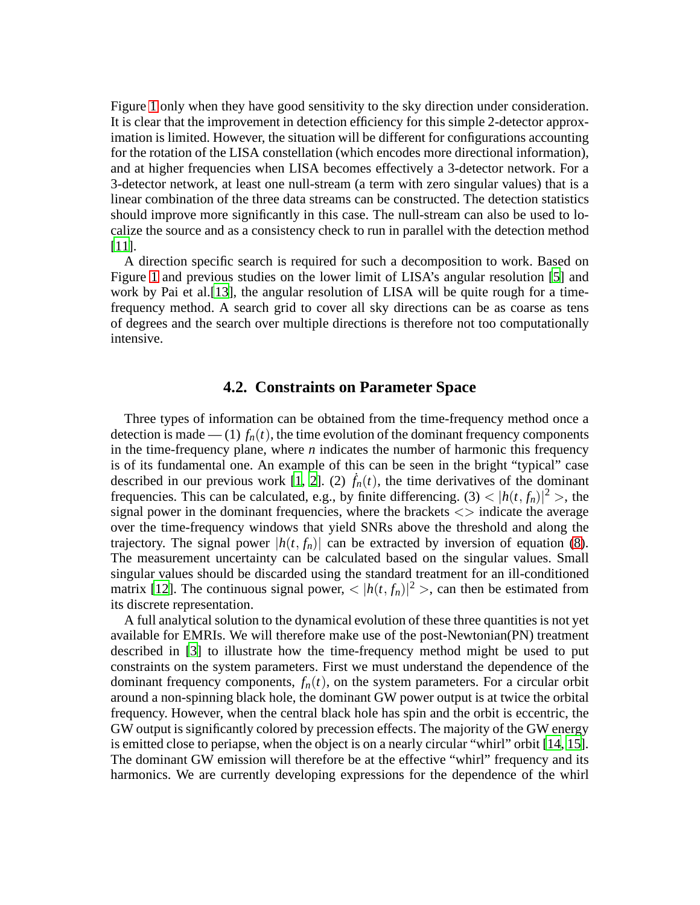Figure [1](#page-7-0) only when they have good sensitivity to the sky direction under consideration. It is clear that the improvement in detection efficiency for this simple 2-detector approximation is limited. However, the situation will be different for configurations accounting for the rotation of the LISA constellation (which encodes more directional information), and at higher frequencies when LISA becomes effectively a 3-detector network. For a 3-detector network, at least one null-stream (a term with zero singular values) that is a linear combination of the three data streams can be constructed. The detection statistics should improve more significantly in this case. The null-stream can also be used to localize the source and as a consistency check to run in parallel with the detection method [\[11\]](#page-9-10).

A direction specific search is required for such a decomposition to work. Based on Figure [1](#page-7-0) and previous studies on the lower limit of LISA's angular resolution [\[5\]](#page-9-4) and work by Pai et al.[\[13](#page-9-12)], the angular resolution of LISA will be quite rough for a timefrequency method. A search grid to cover all sky directions can be as coarse as tens of degrees and the search over multiple directions is therefore not too computationally intensive.

#### **4.2. Constraints on Parameter Space**

Three types of information can be obtained from the time-frequency method once a detection is made — (1)  $f_n(t)$ , the time evolution of the dominant frequency components in the time-frequency plane, where *n* indicates the number of harmonic this frequency is of its fundamental one. An example of this can be seen in the bright "typical" case described in our previous work [\[1](#page-9-0), [2](#page-9-1)]. (2)  $f_n(t)$ , the time derivatives of the dominant frequencies. This can be calculated, e.g., by finite differencing. (3)  $\lt |h(t, f_n)|^2$  >, the signal power in the dominant frequencies, where the brackets  $\langle \rangle$  indicate the average over the time-frequency windows that yield SNRs above the threshold and along the trajectory. The signal power  $|h(t, f_n)|$  can be extracted by inversion of equation [\(8\)](#page-4-0). The measurement uncertainty can be calculated based on the singular values. Small singular values should be discarded using the standard treatment for an ill-conditioned matrix [\[12\]](#page-9-11). The continuous signal power,  $\langle |h(t, f_n)|^2 \rangle$ , can then be estimated from its discrete representation.

A full analytical solution to the dynamical evolution of these three quantities is not yet available for EMRIs. We will therefore make use of the post-Newtonian(PN) treatment described in [\[3](#page-9-2)] to illustrate how the time-frequency method might be used to put constraints on the system parameters. First we must understand the dependence of the dominant frequency components,  $f_n(t)$ , on the system parameters. For a circular orbit around a non-spinning black hole, the dominant GW power output is at twice the orbital frequency. However, when the central black hole has spin and the orbit is eccentric, the GW output is significantly colored by precession effects. The majority of the GW energy is emitted close to periapse, when the object is on a nearly circular "whirl" orbit [\[14,](#page-9-13) [15](#page-9-14)]. The dominant GW emission will therefore be at the effective "whirl" frequency and its harmonics. We are currently developing expressions for the dependence of the whirl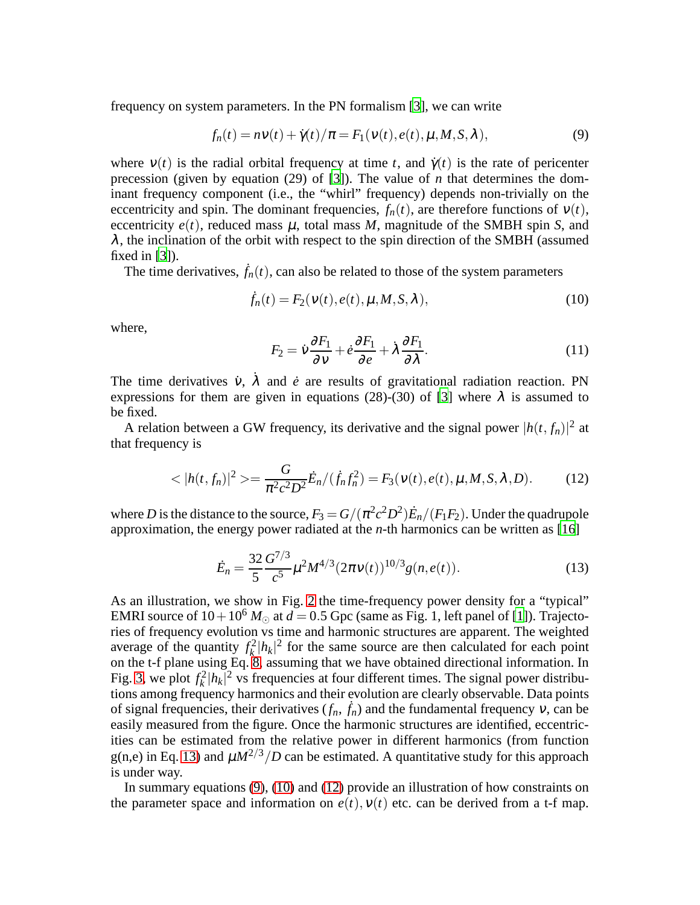<span id="page-6-1"></span>frequency on system parameters. In the PN formalism [\[3\]](#page-9-2), we can write

$$
f_n(t) = n \nu(t) + \dot{\gamma}(t) / \pi = F_1(\nu(t), e(t), \mu, M, S, \lambda),
$$
\n(9)

where  $v(t)$  is the radial orbital frequency at time *t*, and  $\dot{\gamma}(t)$  is the rate of pericenter precession (given by equation (29) of [\[3\]](#page-9-2)). The value of *n* that determines the dominant frequency component (i.e., the "whirl" frequency) depends non-trivially on the eccentricity and spin. The dominant frequencies,  $f_n(t)$ , are therefore functions of  $v(t)$ , eccentricity  $e(t)$ , reduced mass  $\mu$ , total mass  $M$ , magnitude of the SMBH spin *S*, and  $\lambda$ , the inclination of the orbit with respect to the spin direction of the SMBH (assumed fixed in [\[3\]](#page-9-2)).

<span id="page-6-2"></span>The time derivatives,  $\dot{f}_n(t)$ , can also be related to those of the system parameters

$$
\dot{f}_n(t) = F_2(\mathbf{v}(t), e(t), \mu, M, S, \lambda), \tag{10}
$$

where,

$$
F_2 = \dot{v}\frac{\partial F_1}{\partial v} + \dot{e}\frac{\partial F_1}{\partial e} + \dot{\lambda}\frac{\partial F_1}{\partial \lambda}.
$$
 (11)

The time derivatives  $\dot{v}$ ,  $\dot{\lambda}$  and  $\dot{e}$  are results of gravitational radiation reaction. PN expressions for them are given in equations (28)-(30) of [\[3](#page-9-2)] where  $\lambda$  is assumed to be fixed.

A relation between a GW frequency, its derivative and the signal power  $|h(t, f_n)|^2$  at that frequency is

$$
\langle |h(t, f_n)|^2 \rangle = \frac{G}{\pi^2 c^2 D^2} \dot{E}_n / (\dot{f}_n f_n^2) = F_3(\nu(t), e(t), \mu, M, S, \lambda, D). \tag{12}
$$

<span id="page-6-3"></span>where  $D$  is the distance to the source,  $F_3 = G/(\pi^2 c^2 D^2) \dot{E}_n/(F_1 F_2).$  Under the quadrupole approximation, the energy power radiated at the *n*-th harmonics can be written as [\[16](#page-9-15)]

$$
\dot{E}_n = \frac{32}{5} \frac{G^{7/3}}{c^5} \mu^2 M^{4/3} (2\pi v(t))^{10/3} g(n, e(t)).
$$
\n(13)

<span id="page-6-0"></span>As an illustration, we show in Fig. [2](#page-7-1) the time-frequency power density for a "typical" EMRI source of  $10+10^6$  *M* $\odot$  at  $d=0.5$  Gpc (same as Fig. 1, left panel of [\[1](#page-9-0)]). Trajectories of frequency evolution vs time and harmonic structures are apparent. The weighted average of the quantity  $f_k^2$  $\frac{d^2}{k}$   $|h_k|^2$  for the same source are then calculated for each point on the t-f plane using Eq. [8,](#page-4-0) assuming that we have obtained directional information. In Fig. [3,](#page-8-1) we plot  $f_k^2$  $h_k^2 |h_k|^2$  vs frequencies at four different times. The signal power distributions among frequency harmonics and their evolution are clearly observable. Data points of signal frequencies, their derivatives  $(f_n, \dot{f}_n)$  and the fundamental frequency  $v$ , can be easily measured from the figure. Once the harmonic structures are identified, eccentricities can be estimated from the relative power in different harmonics (from function g(n,e) in Eq. [13\)](#page-6-0) and  $\mu M^{2/3}/D$  can be estimated. A quantitative study for this approach is under way.

In summary equations [\(9\)](#page-6-1), [\(10\)](#page-6-2) and [\(12\)](#page-6-3) provide an illustration of how constraints on the parameter space and information on  $e(t)$ ,  $v(t)$  etc. can be derived from a t-f map.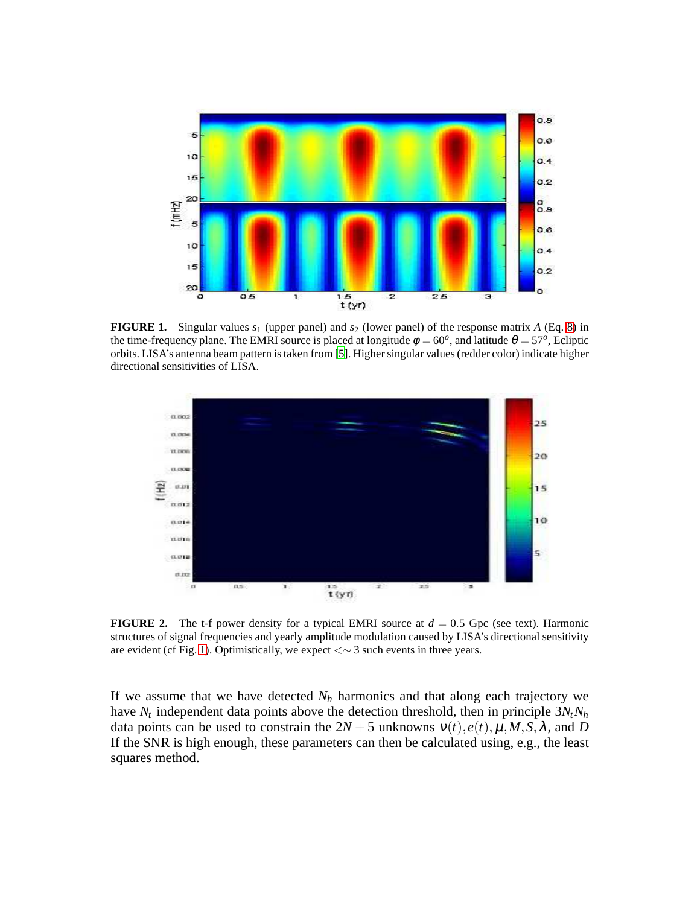

<span id="page-7-0"></span>**FIGURE 1.** Singular values  $s_1$  (upper panel) and  $s_2$  (lower panel) of the response matrix *A* (Eq. [8\)](#page-4-0) in the time-frequency plane. The EMRI source is placed at longitude  $\phi = 60^{\circ}$ , and latitude  $\theta = 57^{\circ}$ , Ecliptic orbits. LISA's antenna beam pattern is taken from [\[5](#page-9-4)]. Higher singular values (redder color) indicate higher directional sensitivities of LISA.



<span id="page-7-1"></span>**FIGURE 2.** The t-f power density for a typical EMRI source at  $d = 0.5$  Gpc (see text). Harmonic structures of signal frequencies and yearly amplitude modulation caused by LISA's directional sensitivity are evident (cf Fig. [1\)](#page-7-0). Optimistically, we expect <∼ 3 such events in three years.

If we assume that we have detected  $N_h$  harmonics and that along each trajectory we have *N<sup>t</sup>* independent data points above the detection threshold, then in principle 3*NtN<sup>h</sup>* data points can be used to constrain the  $2N + 5$  unknowns  $v(t)$ ,  $e(t)$ ,  $\mu$ ,  $M$ ,  $S$ ,  $\lambda$ , and  $D$ If the SNR is high enough, these parameters can then be calculated using, e.g., the least squares method.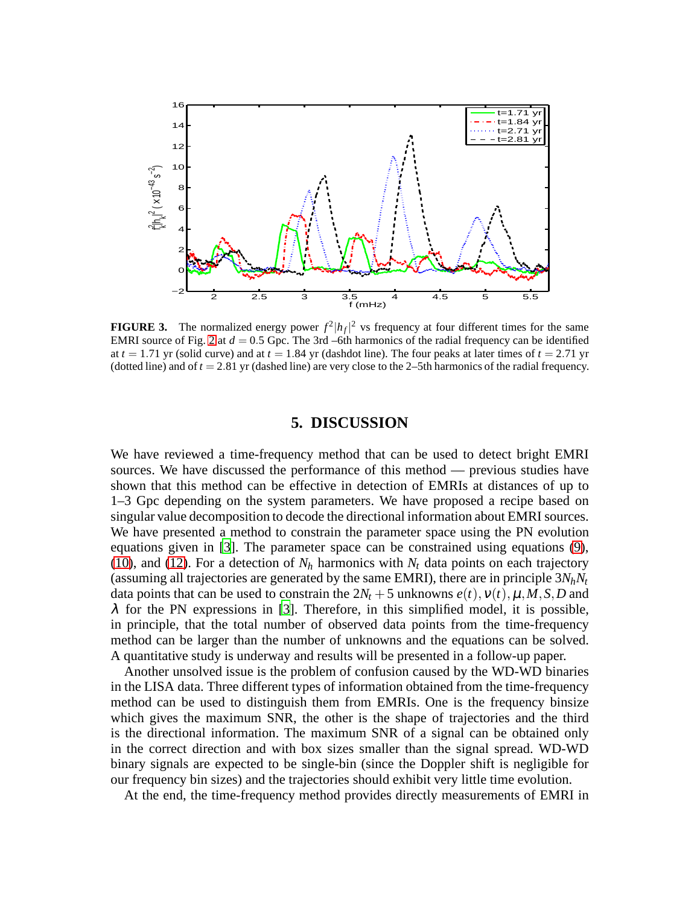

<span id="page-8-1"></span>**FIGURE 3.** The normalized energy power  $f^2 |h_f|^2$  vs frequency at four different times for the same EMRI source of Fig. [2](#page-7-1) at  $d = 0.5$  Gpc. The 3rd –6th harmonics of the radial frequency can be identified at  $t = 1.71$  yr (solid curve) and at  $t = 1.84$  yr (dashdot line). The four peaks at later times of  $t = 2.71$  yr (dotted line) and of *t* = 2.81 yr (dashed line) are very close to the 2–5th harmonics of the radial frequency.

#### **5. DISCUSSION**

<span id="page-8-0"></span>We have reviewed a time-frequency method that can be used to detect bright EMRI sources. We have discussed the performance of this method — previous studies have shown that this method can be effective in detection of EMRIs at distances of up to 1–3 Gpc depending on the system parameters. We have proposed a recipe based on singular value decomposition to decode the directional information about EMRI sources. We have presented a method to constrain the parameter space using the PN evolution equations given in [\[3\]](#page-9-2). The parameter space can be constrained using equations [\(9\)](#page-6-1), [\(10\)](#page-6-2), and [\(12\)](#page-6-3). For a detection of  $N_h$  harmonics with  $N_t$  data points on each trajectory (assuming all trajectories are generated by the same EMRI), there are in principle  $3N_hN_t$ data points that can be used to constrain the  $2N_t + 5$  unknowns  $e(t)$ ,  $v(t)$ ,  $\mu$ ,  $M$ ,  $S$ ,  $D$  and  $\lambda$  for the PN expressions in [\[3\]](#page-9-2). Therefore, in this simplified model, it is possible, in principle, that the total number of observed data points from the time-frequency method can be larger than the number of unknowns and the equations can be solved. A quantitative study is underway and results will be presented in a follow-up paper.

Another unsolved issue is the problem of confusion caused by the WD-WD binaries in the LISA data. Three different types of information obtained from the time-frequency method can be used to distinguish them from EMRIs. One is the frequency binsize which gives the maximum SNR, the other is the shape of trajectories and the third is the directional information. The maximum SNR of a signal can be obtained only in the correct direction and with box sizes smaller than the signal spread. WD-WD binary signals are expected to be single-bin (since the Doppler shift is negligible for our frequency bin sizes) and the trajectories should exhibit very little time evolution.

At the end, the time-frequency method provides directly measurements of EMRI in